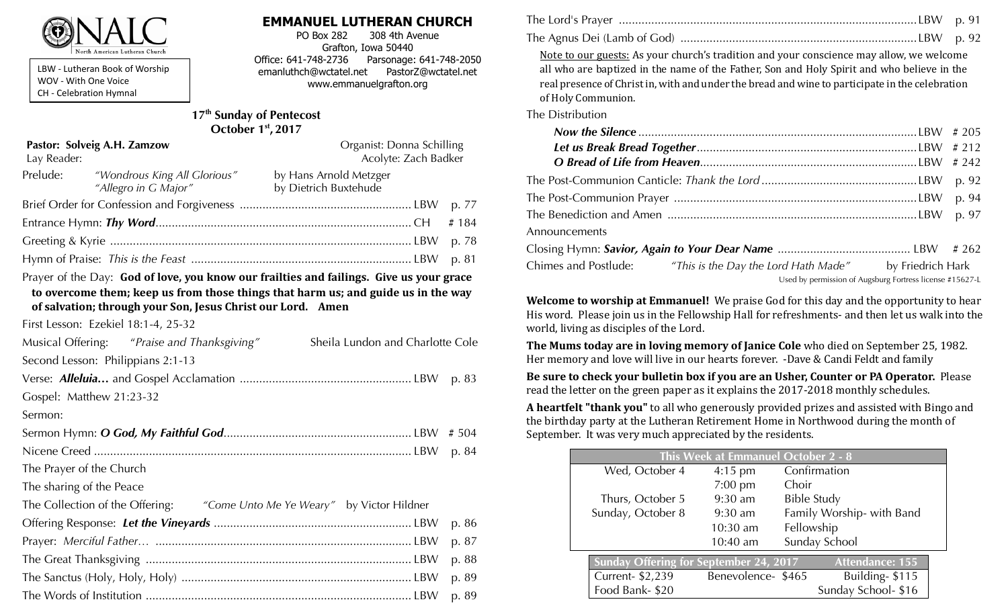

LBW - Lutheran Book of Worship WOV - With One Voice CH - Celebration Hymnal

### **EMMANUEL LUTHERAN CHURCH**

PO Box 282 308 4th Avenue Grafton, Iowa 50440 Office: 641-748-2736 Parsonage: 641-748-2050 emanluthch@wctatel.net PastorZ@wctatel.net www.emmanuelgrafton.org

#### **17th Sunday of Pentecost October 1st , 2017**

| Pastor: Solveig A.H. Zamzow<br>Lay Reader: |                                                                                                                    | Organist: Donna Schilling<br>Acolyte: Zach Badker |  |         |
|--------------------------------------------|--------------------------------------------------------------------------------------------------------------------|---------------------------------------------------|--|---------|
| Prelude:                                   | "Wondrous King All Glorious"<br>"Allegro in G Major"                                                               | by Hans Arnold Metzger<br>by Dietrich Buxtehude   |  |         |
|                                            |                                                                                                                    |                                                   |  | p. 77   |
|                                            |                                                                                                                    |                                                   |  | # $184$ |
|                                            |                                                                                                                    |                                                   |  | p. 78   |
|                                            |                                                                                                                    |                                                   |  |         |
|                                            | Prayer of the Day: God of love, you know our frailties and failings. Give us your grace                            |                                                   |  |         |
|                                            | the proportion of the collection of a form the collaborate that he can be a set that the collection of the collect |                                                   |  |         |

**to overcome them; keep us from those things that harm us; and guide us in the way of salvation; through your Son, Jesus Christ our Lord. Amen** 

First Lesson: Ezekiel 18:1-4, 25-32

| Musical Offering: "Praise and Thanksgiving" |                                                                           | Sheila Lundon and Charlotte Cole |       |
|---------------------------------------------|---------------------------------------------------------------------------|----------------------------------|-------|
| Second Lesson: Philippians 2:1-13           |                                                                           |                                  |       |
|                                             |                                                                           |                                  |       |
| Gospel: Matthew 21:23-32                    |                                                                           |                                  |       |
| Sermon:                                     |                                                                           |                                  |       |
|                                             |                                                                           |                                  | # 504 |
|                                             |                                                                           |                                  | p. 84 |
| The Prayer of the Church                    |                                                                           |                                  |       |
| The sharing of the Peace                    |                                                                           |                                  |       |
|                                             | The Collection of the Offering: "Come Unto Me Ye Weary" by Victor Hildner |                                  |       |
|                                             |                                                                           |                                  | p. 86 |
|                                             |                                                                           |                                  | p. 87 |
|                                             |                                                                           |                                  |       |

| The Lord's Prayer ………………………………………………………………………………………LBW p. 91 |  |
|--------------------------------------------------------------|--|
|                                                              |  |

Note to our guests: As your church's tradition and your conscience may allow, we welcome all who are baptized in the name of the Father, Son and Holy Spirit and who believe in the real presence of Christ in, with and under the bread and wine to participate in the celebration of Holy Communion.

The Distribution

|               |                                                                             | p. 94 |
|---------------|-----------------------------------------------------------------------------|-------|
|               |                                                                             | p. 97 |
| Announcements |                                                                             |       |
|               |                                                                             |       |
|               | Chimes and Postlude: "This is the Day the Lord Hath Made" by Friedrich Hark |       |
|               | Used by permission of Augsburg Fortress license #15627-L                    |       |

**Welcome to worship at Emmanuel!** We praise God for this day and the opportunity to hear His word. Please join us in the Fellowship Hall for refreshments- and then let us walk into the world, living as disciples of the Lord.

**The Mums today are in loving memory of Janice Cole** who died on September 25, 1982. Her memory and love will live in our hearts forever. -Dave & Candi Feldt and family

**Be sure to check your bulletin box if you are an Usher, Counter or PA Operator.** Please read the letter on the green paper as it explains the 2017-2018 monthly schedules.

**A heartfelt "thank you"** to all who generously provided prizes and assisted with Bingo and the birthday party at the Lutheran Retirement Home in Northwood during the month of September. It was very much appreciated by the residents.

|                                                                  |                   | <b>This Week at Emmanuel October 2 - 8</b> |  |
|------------------------------------------------------------------|-------------------|--------------------------------------------|--|
| Wed, October 4                                                   | $4:15$ pm         | Confirmation                               |  |
|                                                                  | $7:00$ pm         | Choir                                      |  |
| Thurs, October 5                                                 | $9:30$ am         | <b>Bible Study</b>                         |  |
| Sunday, October 8                                                | $9:30$ am         | Family Worship- with Band                  |  |
|                                                                  | $10:30$ am        | Fellowship                                 |  |
|                                                                  | $10:40$ am        | Sunday School                              |  |
| Sunday Offering for September 24, 2017<br><b>Attendance: 155</b> |                   |                                            |  |
| Current- \$2,239                                                 | Benevolence-\$465 | Building-\$115                             |  |
| Food Bank-\$20                                                   |                   | Sunday School-\$16                         |  |